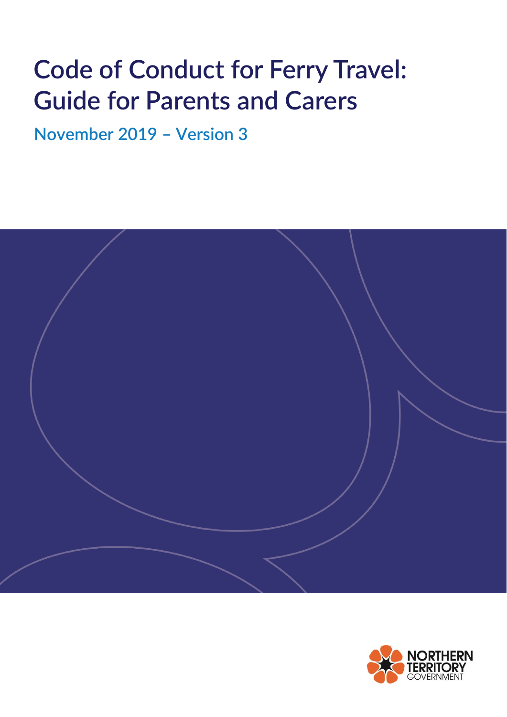# **Code of Conduct for Ferry Travel: Guide for Parents and Carers**

**November 2019 – Version 3**



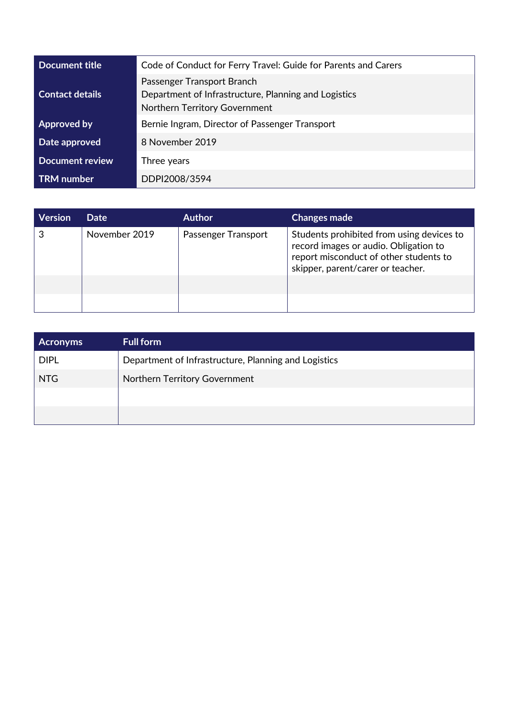| Document title         | Code of Conduct for Ferry Travel: Guide for Parents and Carers                                                      |  |
|------------------------|---------------------------------------------------------------------------------------------------------------------|--|
| <b>Contact details</b> | Passenger Transport Branch<br>Department of Infrastructure, Planning and Logistics<br>Northern Territory Government |  |
| <b>Approved by</b>     | Bernie Ingram, Director of Passenger Transport                                                                      |  |
| Date approved          | 8 November 2019                                                                                                     |  |
| Document review        | Three years                                                                                                         |  |
| <b>TRM</b> number      | DDPI2008/3594                                                                                                       |  |

| <b>Version</b> | <b>Date</b>   | <b>Author</b>       | <b>Changes made</b>                                                                                                                                               |
|----------------|---------------|---------------------|-------------------------------------------------------------------------------------------------------------------------------------------------------------------|
| 3              | November 2019 | Passenger Transport | Students prohibited from using devices to<br>record images or audio. Obligation to<br>report misconduct of other students to<br>skipper, parent/carer or teacher. |
|                |               |                     |                                                                                                                                                                   |
|                |               |                     |                                                                                                                                                                   |

| <b>Acronyms</b> | <b>Full form</b>                                     |
|-----------------|------------------------------------------------------|
| <b>DIPL</b>     | Department of Infrastructure, Planning and Logistics |
| <b>NTG</b>      | Northern Territory Government                        |
|                 |                                                      |
|                 |                                                      |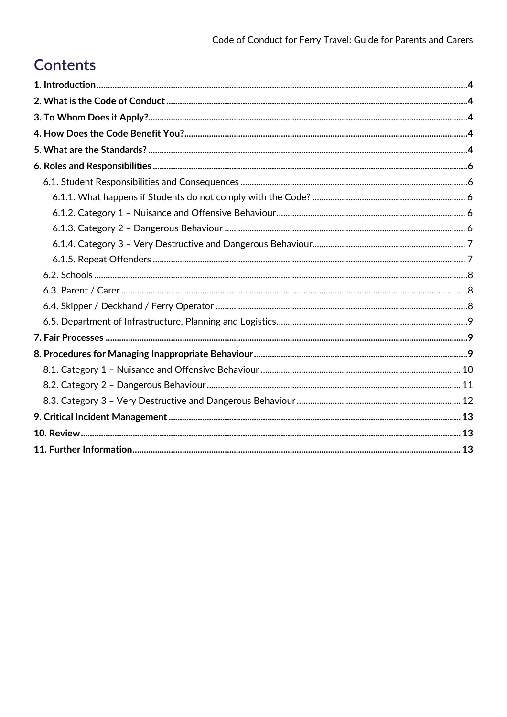# **Contents**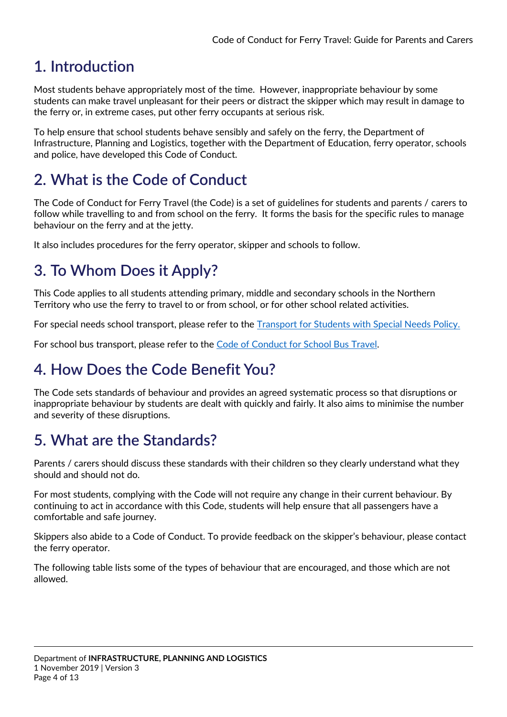# <span id="page-3-0"></span>**1. Introduction**

Most students behave appropriately most of the time. However, inappropriate behaviour by some students can make travel unpleasant for their peers or distract the skipper which may result in damage to the ferry or, in extreme cases, put other ferry occupants at serious risk.

To help ensure that school students behave sensibly and safely on the ferry, the Department of Infrastructure, Planning and Logistics, together with the Department of Education, ferry operator, schools and police, have developed this Code of Conduct.

# <span id="page-3-1"></span>**2. What is the Code of Conduct**

The Code of Conduct for Ferry Travel (the Code) is a set of guidelines for students and parents / carers to follow while travelling to and from school on the ferry. It forms the basis for the specific rules to manage behaviour on the ferry and at the jetty.

It also includes procedures for the ferry operator, skipper and schools to follow.

# <span id="page-3-2"></span>**3. To Whom Does it Apply?**

This Code applies to all students attending primary, middle and secondary schools in the Northern Territory who use the ferry to travel to or from school, or for other school related activities.

For special needs school transport, please refer to the [Transport for Students with Special Needs Policy.](https://education.nt.gov.au/policies/transport-for-students-with-special-needs)

For school bus transport, please refer to the [Code of Conduct for School Bus Travel.](https://nt.gov.au/__data/assets/pdf_file/0010/547624/code-of-conduct-school-bus-travel.pdf)

# <span id="page-3-3"></span>**4. How Does the Code Benefit You?**

The Code sets standards of behaviour and provides an agreed systematic process so that disruptions or inappropriate behaviour by students are dealt with quickly and fairly. It also aims to minimise the number and severity of these disruptions.

# <span id="page-3-4"></span>**5. What are the Standards?**

Parents / carers should discuss these standards with their children so they clearly understand what they should and should not do.

For most students, complying with the Code will not require any change in their current behaviour. By continuing to act in accordance with this Code, students will help ensure that all passengers have a comfortable and safe journey.

Skippers also abide to a Code of Conduct. To provide feedback on the skipper's behaviour, please contact the ferry operator.

The following table lists some of the types of behaviour that are encouraged, and those which are not allowed.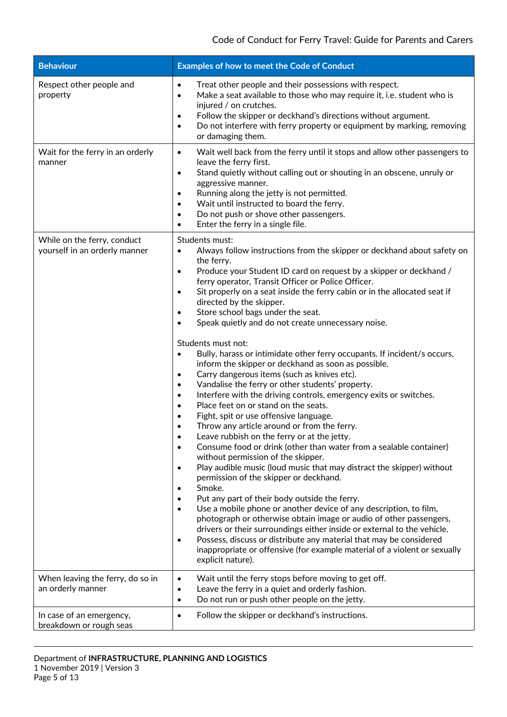| <b>Behaviour</b>                                             | Examples of how to meet the Code of Conduct                                                                                                                                                                                                                                                                                                                                                                                                                                                                                                                                                                                                                                                                                                                                                                                                                                                                                                                                                                                                                                                                                                                                                                                                                                                                                                                                                                                                                                                                                                                                                                                                                                                                                                                                                                                              |
|--------------------------------------------------------------|------------------------------------------------------------------------------------------------------------------------------------------------------------------------------------------------------------------------------------------------------------------------------------------------------------------------------------------------------------------------------------------------------------------------------------------------------------------------------------------------------------------------------------------------------------------------------------------------------------------------------------------------------------------------------------------------------------------------------------------------------------------------------------------------------------------------------------------------------------------------------------------------------------------------------------------------------------------------------------------------------------------------------------------------------------------------------------------------------------------------------------------------------------------------------------------------------------------------------------------------------------------------------------------------------------------------------------------------------------------------------------------------------------------------------------------------------------------------------------------------------------------------------------------------------------------------------------------------------------------------------------------------------------------------------------------------------------------------------------------------------------------------------------------------------------------------------------------|
| Respect other people and<br>property                         | Treat other people and their possessions with respect.<br>$\bullet$<br>Make a seat available to those who may require it, i.e. student who is<br>$\bullet$<br>injured / on crutches.<br>Follow the skipper or deckhand's directions without argument.<br>$\bullet$<br>Do not interfere with ferry property or equipment by marking, removing<br>$\bullet$<br>or damaging them.                                                                                                                                                                                                                                                                                                                                                                                                                                                                                                                                                                                                                                                                                                                                                                                                                                                                                                                                                                                                                                                                                                                                                                                                                                                                                                                                                                                                                                                           |
| Wait for the ferry in an orderly<br>manner                   | Wait well back from the ferry until it stops and allow other passengers to<br>$\bullet$<br>leave the ferry first.<br>Stand quietly without calling out or shouting in an obscene, unruly or<br>$\bullet$<br>aggressive manner.<br>Running along the jetty is not permitted.<br>$\bullet$<br>Wait until instructed to board the ferry.<br>$\bullet$<br>Do not push or shove other passengers.<br>$\bullet$<br>Enter the ferry in a single file.<br>$\bullet$                                                                                                                                                                                                                                                                                                                                                                                                                                                                                                                                                                                                                                                                                                                                                                                                                                                                                                                                                                                                                                                                                                                                                                                                                                                                                                                                                                              |
| While on the ferry, conduct<br>yourself in an orderly manner | Students must:<br>Always follow instructions from the skipper or deckhand about safety on<br>$\bullet$<br>the ferry.<br>Produce your Student ID card on request by a skipper or deckhand /<br>$\bullet$<br>ferry operator, Transit Officer or Police Officer.<br>Sit properly on a seat inside the ferry cabin or in the allocated seat if<br>$\bullet$<br>directed by the skipper.<br>Store school bags under the seat.<br>Speak quietly and do not create unnecessary noise.<br>$\bullet$<br>Students must not:<br>Bully, harass or intimidate other ferry occupants. If incident/s occurs,<br>$\bullet$<br>inform the skipper or deckhand as soon as possible.<br>Carry dangerous items (such as knives etc).<br>٠<br>Vandalise the ferry or other students' property.<br>٠<br>Interfere with the driving controls, emergency exits or switches.<br>$\bullet$<br>Place feet on or stand on the seats.<br>$\bullet$<br>Fight, spit or use offensive language.<br>٠<br>Throw any article around or from the ferry.<br>Leave rubbish on the ferry or at the jetty.<br>Consume food or drink (other than water from a sealable container)<br>$\bullet$<br>without permission of the skipper.<br>Play audible music (loud music that may distract the skipper) without<br>$\bullet$<br>permission of the skipper or deckhand.<br>Smoke.<br>$\bullet$<br>Put any part of their body outside the ferry.<br>$\bullet$<br>Use a mobile phone or another device of any description, to film,<br>$\bullet$<br>photograph or otherwise obtain image or audio of other passengers,<br>drivers or their surroundings either inside or external to the vehicle.<br>Possess, discuss or distribute any material that may be considered<br>$\bullet$<br>inappropriate or offensive (for example material of a violent or sexually<br>explicit nature). |
| When leaving the ferry, do so in<br>an orderly manner        | Wait until the ferry stops before moving to get off.<br>٠<br>Leave the ferry in a quiet and orderly fashion.<br>٠<br>Do not run or push other people on the jetty.<br>$\bullet$                                                                                                                                                                                                                                                                                                                                                                                                                                                                                                                                                                                                                                                                                                                                                                                                                                                                                                                                                                                                                                                                                                                                                                                                                                                                                                                                                                                                                                                                                                                                                                                                                                                          |
| In case of an emergency,<br>breakdown or rough seas          | Follow the skipper or deckhand's instructions.<br>$\bullet$                                                                                                                                                                                                                                                                                                                                                                                                                                                                                                                                                                                                                                                                                                                                                                                                                                                                                                                                                                                                                                                                                                                                                                                                                                                                                                                                                                                                                                                                                                                                                                                                                                                                                                                                                                              |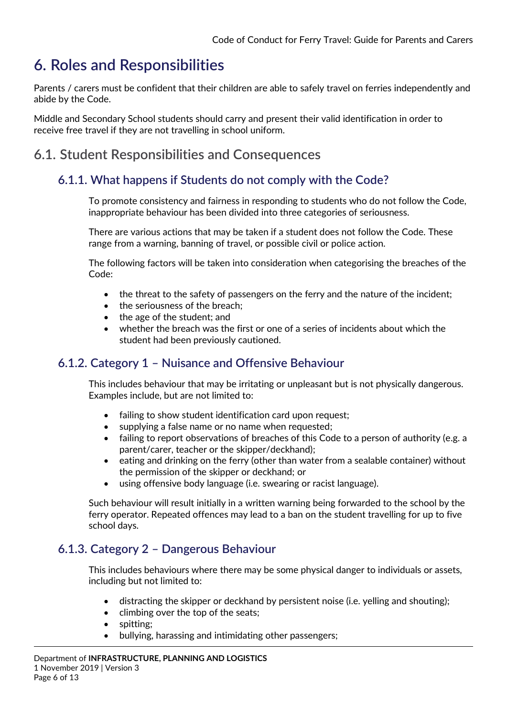# <span id="page-5-0"></span>**6. Roles and Responsibilities**

Parents / carers must be confident that their children are able to safely travel on ferries independently and abide by the Code.

Middle and Secondary School students should carry and present their valid identification in order to receive free travel if they are not travelling in school uniform.

### <span id="page-5-2"></span><span id="page-5-1"></span>**6.1. Student Responsibilities and Consequences**

### **6.1.1. What happens if Students do not comply with the Code?**

To promote consistency and fairness in responding to students who do not follow the Code, inappropriate behaviour has been divided into three categories of seriousness.

There are various actions that may be taken if a student does not follow the Code. These range from a warning, banning of travel, or possible civil or police action.

The following factors will be taken into consideration when categorising the breaches of the Code:

- the threat to the safety of passengers on the ferry and the nature of the incident;
- the seriousness of the breach:
- the age of the student; and
- whether the breach was the first or one of a series of incidents about which the student had been previously cautioned.

### <span id="page-5-3"></span>**6.1.2. Category 1 – Nuisance and Offensive Behaviour**

This includes behaviour that may be irritating or unpleasant but is not physically dangerous. Examples include, but are not limited to:

- failing to show student identification card upon request;
- supplying a false name or no name when requested;
- failing to report observations of breaches of this Code to a person of authority (e.g. a parent/carer, teacher or the skipper/deckhand);
- eating and drinking on the ferry (other than water from a sealable container) without the permission of the skipper or deckhand; or
- using offensive body language (i.e. swearing or racist language).

Such behaviour will result initially in a written warning being forwarded to the school by the ferry operator. Repeated offences may lead to a ban on the student travelling for up to five school days.

### <span id="page-5-4"></span>**6.1.3. Category 2 – Dangerous Behaviour**

This includes behaviours where there may be some physical danger to individuals or assets, including but not limited to:

- distracting the skipper or deckhand by persistent noise (i.e. yelling and shouting);
- climbing over the top of the seats;
- spitting:
- bullying, harassing and intimidating other passengers;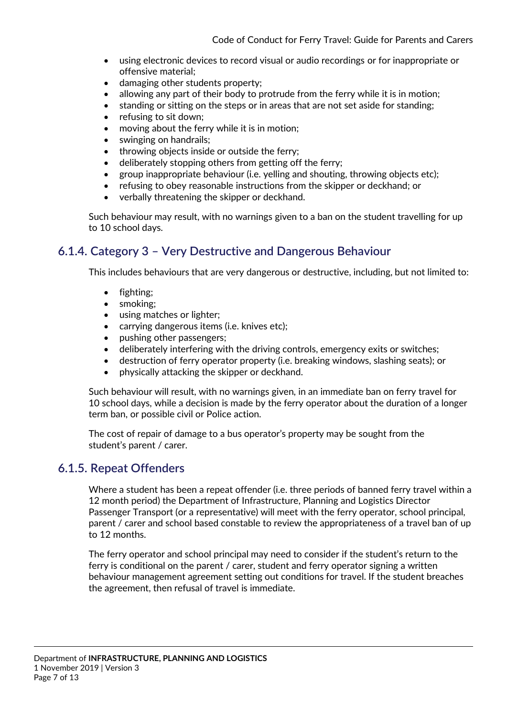- using electronic devices to record visual or audio recordings or for inappropriate or offensive material;
- damaging other students property;
- allowing any part of their body to protrude from the ferry while it is in motion;
- standing or sitting on the steps or in areas that are not set aside for standing;
- refusing to sit down:
- moving about the ferry while it is in motion;
- swinging on handrails:
- throwing objects inside or outside the ferry;
- deliberately stopping others from getting off the ferry;
- group inappropriate behaviour (i.e. yelling and shouting, throwing objects etc);
- refusing to obey reasonable instructions from the skipper or deckhand; or
- verbally threatening the skipper or deckhand.

Such behaviour may result, with no warnings given to a ban on the student travelling for up to 10 school days.

### <span id="page-6-0"></span>**6.1.4. Category 3 – Very Destructive and Dangerous Behaviour**

This includes behaviours that are very dangerous or destructive, including, but not limited to:

- fighting;
- smoking:
- using matches or lighter;
- carrying dangerous items (i.e. knives etc);
- pushing other passengers;
- deliberately interfering with the driving controls, emergency exits or switches;
- destruction of ferry operator property (i.e. breaking windows, slashing seats); or
- physically attacking the skipper or deckhand.

Such behaviour will result, with no warnings given, in an immediate ban on ferry travel for 10 school days, while a decision is made by the ferry operator about the duration of a longer term ban, or possible civil or Police action.

The cost of repair of damage to a bus operator's property may be sought from the student's parent / carer.

### <span id="page-6-1"></span>**6.1.5. Repeat Offenders**

Where a student has been a repeat offender (i.e. three periods of banned ferry travel within a 12 month period) the Department of Infrastructure, Planning and Logistics Director Passenger Transport (or a representative) will meet with the ferry operator, school principal, parent / carer and school based constable to review the appropriateness of a travel ban of up to 12 months.

The ferry operator and school principal may need to consider if the student's return to the ferry is conditional on the parent / carer, student and ferry operator signing a written behaviour management agreement setting out conditions for travel. If the student breaches the agreement, then refusal of travel is immediate.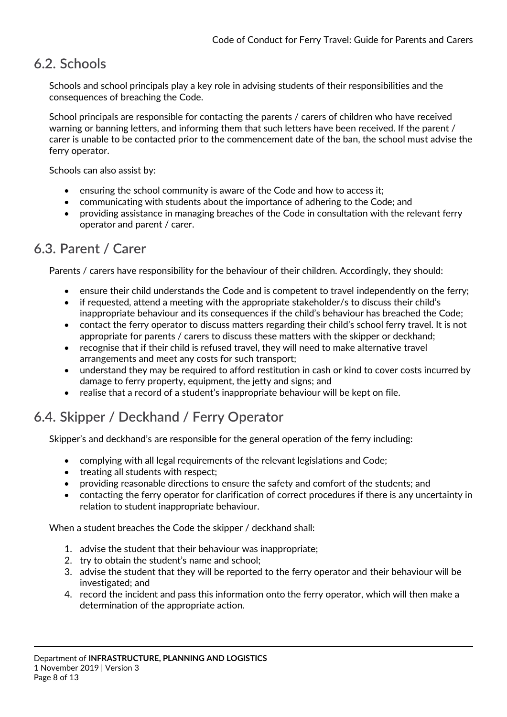### <span id="page-7-0"></span>**6.2. Schools**

Schools and school principals play a key role in advising students of their responsibilities and the consequences of breaching the Code.

School principals are responsible for contacting the parents / carers of children who have received warning or banning letters, and informing them that such letters have been received. If the parent / carer is unable to be contacted prior to the commencement date of the ban, the school must advise the ferry operator.

Schools can also assist by:

- ensuring the school community is aware of the Code and how to access it;
- communicating with students about the importance of adhering to the Code; and
- providing assistance in managing breaches of the Code in consultation with the relevant ferry operator and parent / carer.

### <span id="page-7-1"></span>**6.3. Parent / Carer**

Parents / carers have responsibility for the behaviour of their children. Accordingly, they should:

- ensure their child understands the Code and is competent to travel independently on the ferry;
- if requested, attend a meeting with the appropriate stakeholder/s to discuss their child's inappropriate behaviour and its consequences if the child's behaviour has breached the Code;
- contact the ferry operator to discuss matters regarding their child's school ferry travel. It is not appropriate for parents / carers to discuss these matters with the skipper or deckhand;
- recognise that if their child is refused travel, they will need to make alternative travel arrangements and meet any costs for such transport;
- understand they may be required to afford restitution in cash or kind to cover costs incurred by damage to ferry property, equipment, the jetty and signs; and
- realise that a record of a student's inappropriate behaviour will be kept on file.

### <span id="page-7-2"></span>**6.4. Skipper / Deckhand / Ferry Operator**

Skipper's and deckhand's are responsible for the general operation of the ferry including:

- complying with all legal requirements of the relevant legislations and Code;
- treating all students with respect;
- providing reasonable directions to ensure the safety and comfort of the students; and
- contacting the ferry operator for clarification of correct procedures if there is any uncertainty in relation to student inappropriate behaviour.

When a student breaches the Code the skipper / deckhand shall:

- 1. advise the student that their behaviour was inappropriate;
- 2. try to obtain the student's name and school;
- 3. advise the student that they will be reported to the ferry operator and their behaviour will be investigated; and
- 4. record the incident and pass this information onto the ferry operator, which will then make a determination of the appropriate action.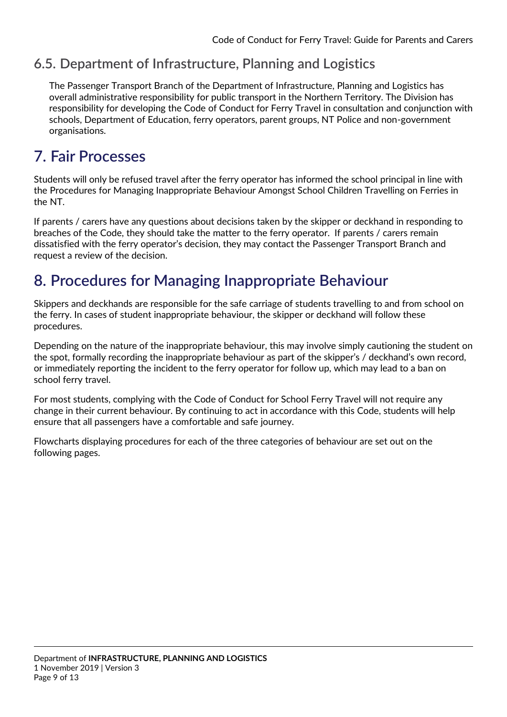### <span id="page-8-0"></span>**6.5. Department of Infrastructure, Planning and Logistics**

The Passenger Transport Branch of the Department of Infrastructure, Planning and Logistics has overall administrative responsibility for public transport in the Northern Territory. The Division has responsibility for developing the Code of Conduct for Ferry Travel in consultation and conjunction with schools, Department of Education, ferry operators, parent groups, NT Police and non-government organisations.

# <span id="page-8-1"></span>**7. Fair Processes**

Students will only be refused travel after the ferry operator has informed the school principal in line with the Procedures for Managing Inappropriate Behaviour Amongst School Children Travelling on Ferries in the NT.

If parents / carers have any questions about decisions taken by the skipper or deckhand in responding to breaches of the Code, they should take the matter to the ferry operator. If parents / carers remain dissatisfied with the ferry operator's decision, they may contact the Passenger Transport Branch and request a review of the decision.

# <span id="page-8-2"></span>**8. Procedures for Managing Inappropriate Behaviour**

Skippers and deckhands are responsible for the safe carriage of students travelling to and from school on the ferry. In cases of student inappropriate behaviour, the skipper or deckhand will follow these procedures.

Depending on the nature of the inappropriate behaviour, this may involve simply cautioning the student on the spot, formally recording the inappropriate behaviour as part of the skipper's / deckhand's own record, or immediately reporting the incident to the ferry operator for follow up, which may lead to a ban on school ferry travel.

For most students, complying with the Code of Conduct for School Ferry Travel will not require any change in their current behaviour. By continuing to act in accordance with this Code, students will help ensure that all passengers have a comfortable and safe journey.

Flowcharts displaying procedures for each of the three categories of behaviour are set out on the following pages.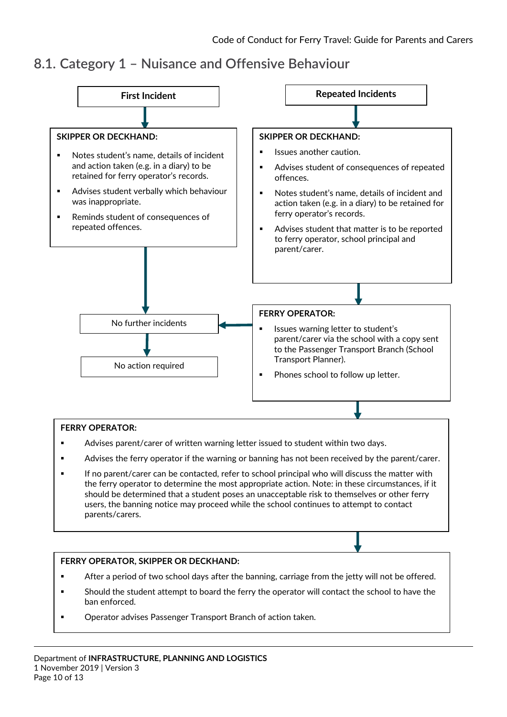### <span id="page-9-0"></span>**8.1. Category 1 – Nuisance and Offensive Behaviour**

<span id="page-9-1"></span>

#### **FERRY OPERATOR:**

- Advises parent/carer of written warning letter issued to student within two days.
- **Advises the ferry operator if the warning or banning has not been received by the parent/carer.**
- If no parent/carer can be contacted, refer to school principal who will discuss the matter with the ferry operator to determine the most appropriate action. Note: in these circumstances, if it should be determined that a student poses an unacceptable risk to themselves or other ferry users, the banning notice may proceed while the school continues to attempt to contact parents/carers.

#### **FERRY OPERATOR, SKIPPER OR DECKHAND:**

- After a period of two school days after the banning, carriage from the jetty will not be offered.
- Should the student attempt to board the ferry the operator will contact the school to have the ban enforced.
- **Operator advises Passenger Transport Branch of action taken.**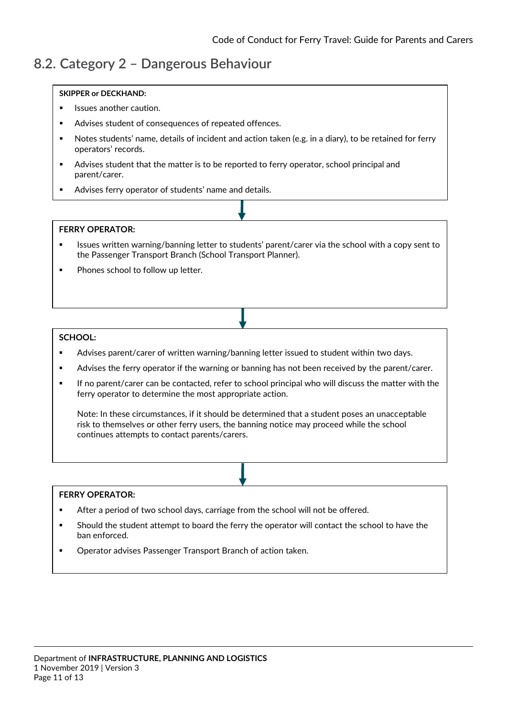### **8.2. Category 2 – Dangerous Behaviour**

#### **1.1.1. SKIPPER or DECKHAND:**

- Issues another caution.
- Advises student of consequences of repeated offences.
- Notes students' name, details of incident and action taken (e.g. in a diary), to be retained for ferry operators' records.
- Advises student that the matter is to be reported to ferry operator, school principal and parent/carer.
- Advises ferry operator of students' name and details.

#### **FERRY OPERATOR:**

- Issues written warning/banning letter to students' parent/carer via the school with a copy sent to the Passenger Transport Branch (School Transport Planner).
- Phones school to follow up letter.

#### **SCHOOL:**

- Advises parent/carer of written warning/banning letter issued to student within two days.
- Advises the ferry operator if the warning or banning has not been received by the parent/carer.
- If no parent/carer can be contacted, refer to school principal who will discuss the matter with the ferry operator to determine the most appropriate action.

Note: In these circumstances, if it should be determined that a student poses an unacceptable risk to themselves or other ferry users, the banning notice may proceed while the school continues attempts to contact parents/carers.

#### **FERRY OPERATOR:**

- **After a period of two school days, carriage from the school will not be offered.**
- Should the student attempt to board the ferry the operator will contact the school to have the ban enforced.
- **Operator advises Passenger Transport Branch of action taken.**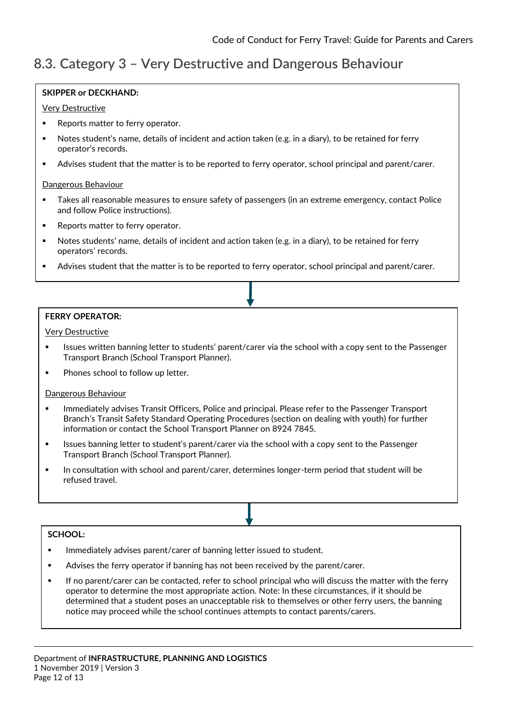### <span id="page-11-0"></span>**8.3. Category 3 – Very Destructive and Dangerous Behaviour**

#### **SKIPPER or DECKHAND:**

#### Very Destructive

- **Reports matter to ferry operator.**
- **1.**<br>■ Notes student's name, details of incident and action taken (e.g. in a diary), to be retained for ferry → operator's records.
- Advises student that the matter is to be reported to ferry operator, school principal and parent/carer.

#### Dangerous Behaviour

- Takes all reasonable measures to ensure safety of passengers (in an extreme emergency, contact Police and follow Police instructions).
- Reports matter to ferry operator.
- Notes students' name, details of incident and action taken (e.g. in a diary), to be retained for ferry operators' records.
- Advises student that the matter is to be reported to ferry operator, school principal and parent/carer.

#### **FERRY OPERATOR:**

Very Destructive

- Issues written banning letter to students' parent/carer via the school with a copy sent to the Passenger Transport Branch (School Transport Planner).
- Phones school to follow up letter.

#### Dangerous Behaviour

- Immediately advises Transit Officers, Police and principal. Please refer to the Passenger Transport Branch's Transit Safety Standard Operating Procedures (section on dealing with youth) for further information or contact the School Transport Planner on 8924 7845.
- Issues banning letter to student's parent/carer via the school with a copy sent to the Passenger Transport Branch (School Transport Planner).
- In consultation with school and parent/carer, determines longer-term period that student will be refused travel.

#### **SCHOOL:**

- Immediately advises parent/carer of banning letter issued to student.
- Advises the ferry operator if banning has not been received by the parent/carer.
- <span id="page-11-1"></span> If no parent/carer can be contacted, refer to school principal who will discuss the matter with the ferry operator to determine the most appropriate action. Note: In these circumstances, if it should be determined that a student poses an unacceptable risk to themselves or other ferry users, the banning notice may proceed while the school continues attempts to contact parents/carers.